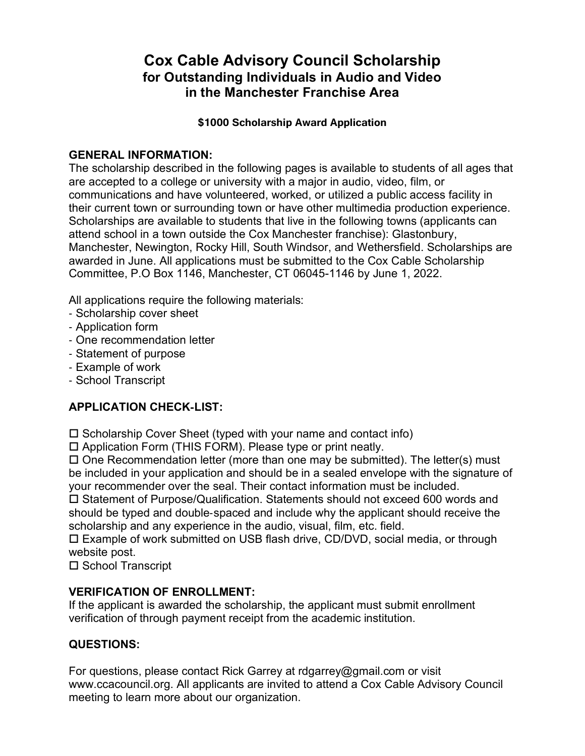## **Cox Cable Advisory Council Scholarship for Outstanding Individuals in Audio and Video in the Manchester Franchise Area**

#### **\$1000 Scholarship Award Application**

### **GENERAL INFORMATION:**

The scholarship described in the following pages is available to students of all ages that are accepted to a college or university with a major in audio, video, film, or communications and have volunteered, worked, or utilized a public access facility in their current town or surrounding town or have other multimedia production experience. Scholarships are available to students that live in the following towns (applicants can attend school in a town outside the Cox Manchester franchise): Glastonbury, Manchester, Newington, Rocky Hill, South Windsor, and Wethersfield. Scholarships are awarded in June. All applications must be submitted to the Cox Cable Scholarship Committee, P.O Box 1146, Manchester, CT 06045-1146 by June 1, 2022.

All applications require the following materials:

- ‐ Scholarship cover sheet
- ‐ Application form
- ‐ One recommendation letter
- ‐ Statement of purpose
- ‐ Example of work
- ‐ School Transcript

## **APPLICATION CHECK**‐**LIST:**

 $\square$  Scholarship Cover Sheet (typed with your name and contact info)

Application Form (THIS FORM). Please type or print neatly.

 $\Box$  One Recommendation letter (more than one may be submitted). The letter(s) must be included in your application and should be in a sealed envelope with the signature of your recommender over the seal. Their contact information must be included.

□ Statement of Purpose/Qualification. Statements should not exceed 600 words and should be typed and double‐spaced and include why the applicant should receive the scholarship and any experience in the audio, visual, film, etc. field.

 Example of work submitted on USB flash drive, CD/DVD, social media, or through website post.

□ School Transcript

### **VERIFICATION OF ENROLLMENT:**

If the applicant is awarded the scholarship, the applicant must submit enrollment verification of through payment receipt from the academic institution.

#### **QUESTIONS:**

For questions, please contact Rick Garrey at rdgarrey@gmail.com or visit www.ccacouncil.org. All applicants are invited to attend a Cox Cable Advisory Council meeting to learn more about our organization.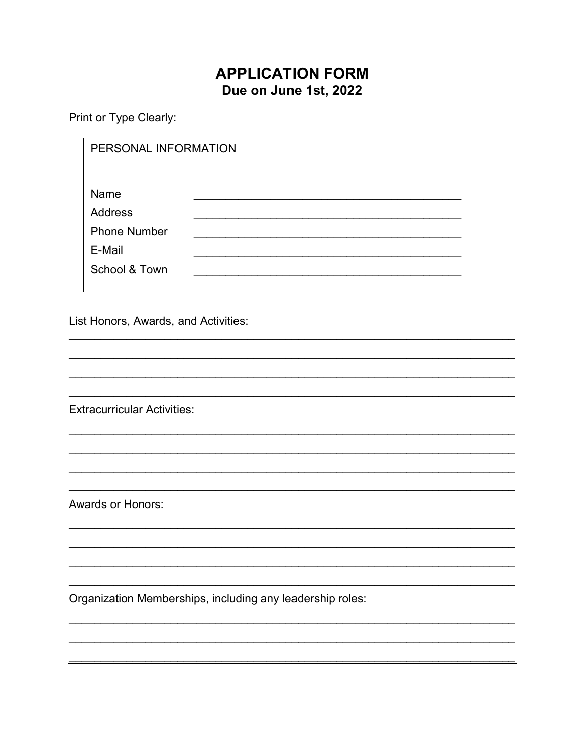# **APPLICATION FORM** Due on June 1st, 2022

Print or Type Clearly:

|                                      | PERSONAL INFORMATION                                              |  |
|--------------------------------------|-------------------------------------------------------------------|--|
|                                      | Name<br>Address<br><b>Phone Number</b><br>E-Mail<br>School & Town |  |
| List Honors, Awards, and Activities: |                                                                   |  |
|                                      |                                                                   |  |
| <b>Extracurricular Activities:</b>   |                                                                   |  |
|                                      |                                                                   |  |
| <b>Awards or Honors:</b>             |                                                                   |  |
|                                      |                                                                   |  |
|                                      | Organization Memberships, including any leadership roles:         |  |
|                                      |                                                                   |  |